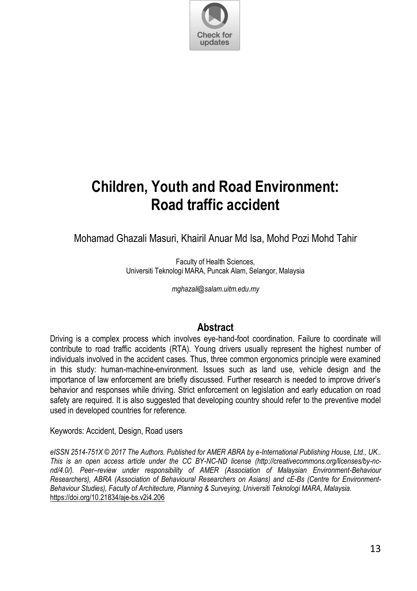

# **Children, Youth and Road Environment: Road traffic accident**

Mohamad Ghazali Masuri, Khairil Anuar Md Isa, Mohd Pozi Mohd Tahir

Faculty of Health Sciences, Universiti Teknologi MARA, Puncak Alam, Selangor, Malaysia

*mghazali@salam.uitm.edu.my* 

#### **Abstract**

Driving is a complex process which involves eye-hand-foot coordination. Failure to coordinate will contribute to road traffic accidents (RTA). Young drivers usually represent the highest number of individuals involved in the accident cases. Thus, three common ergonomics principle were examined in this study: human-machine-environment. Issues such as land use, vehicle design and the importance of law enforcement are briefly discussed. Further research is needed to improve driver"s behavior and responses while driving. Strict enforcement on legislation and early education on road safety are required. It is also suggested that developing country should refer to the preventive model used in developed countries for reference.

Keywords: Accident, Design, Road users

*eISSN 2514-751X © 2017 The Authors. Published for AMER ABRA by e-International Publishing House, Ltd., UK.. This is an open access article under the CC BY-NC-ND license (http://creativecommons.org/licenses/by-ncnd/4.0/). Peer–review under responsibility of AMER (Association of Malaysian Environment-Behaviour Researchers), ABRA (Association of Behavioural Researchers on Asians) and cE-Bs (Centre for Environment-Behaviour Studies), Faculty of Architecture, Planning & Surveying, Universiti Teknologi MARA, Malaysia.* <https://doi.org/10.21834/aje-bs.v2i4.206>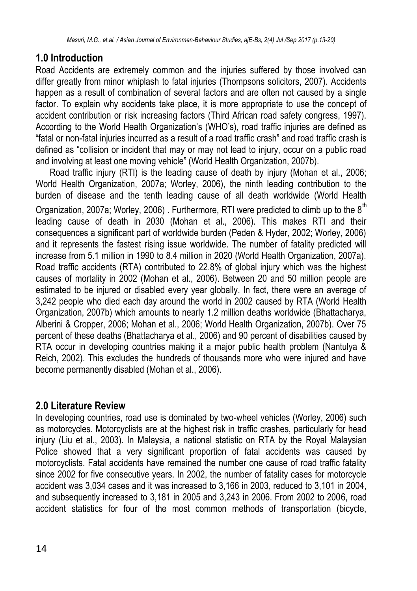# **1.0 Introduction**

Road Accidents are extremely common and the injuries suffered by those involved can differ greatly from minor whiplash to fatal injuries (Thompsons solicitors, 2007). Accidents happen as a result of combination of several factors and are often not caused by a single factor. To explain why accidents take place, it is more appropriate to use the concept of accident contribution or risk increasing factors (Third African road safety congress, 1997). According to the World Health Organization's (WHO's), road traffic injuries are defined as "fatal or non-fatal injuries incurred as a result of a road traffic crash" and road traffic crash is defined as "collision or incident that may or may not lead to injury, occur on a public road and involving at least one moving vehicle" (World Health Organization, 2007b).

Road traffic injury (RTI) is the leading cause of death by injury (Mohan et al., 2006; World Health Organization, 2007a; Worley, 2006), the ninth leading contribution to the burden of disease and the tenth leading cause of all death worldwide (World Health Organization, 2007a; Worley, 2006). Furthermore, RTI were predicted to climb up to the  $8<sup>th</sup>$ leading cause of death in 2030 (Mohan et al., 2006). This makes RTI and their consequences a significant part of worldwide burden (Peden & Hyder, 2002; Worley, 2006) and it represents the fastest rising issue worldwide. The number of fatality predicted will increase from 5.1 million in 1990 to 8.4 million in 2020 (World Health Organization, 2007a). Road traffic accidents (RTA) contributed to 22.8% of global injury which was the highest causes of mortality in 2002 (Mohan et al., 2006). Between 20 and 50 million people are estimated to be injured or disabled every year globally. In fact, there were an average of 3,242 people who died each day around the world in 2002 caused by RTA (World Health Organization, 2007b) which amounts to nearly 1.2 million deaths worldwide (Bhattacharya, Alberini & Cropper, 2006; Mohan et al., 2006; World Health Organization, 2007b). Over 75 percent of these deaths (Bhattacharya et al., 2006) and 90 percent of disabilities caused by RTA occur in developing countries making it a major public health problem (Nantulya & Reich, 2002). This excludes the hundreds of thousands more who were injured and have become permanently disabled (Mohan et al., 2006).

## **2.0 Literature Review**

In developing countries, road use is dominated by two-wheel vehicles (Worley, 2006) such as motorcycles. Motorcyclists are at the highest risk in traffic crashes, particularly for head injury (Liu et al., 2003). In Malaysia, a national statistic on RTA by the Royal Malaysian Police showed that a very significant proportion of fatal accidents was caused by motorcyclists. Fatal accidents have remained the number one cause of road traffic fatality since 2002 for five consecutive years. In 2002, the number of fatality cases for motorcycle accident was 3,034 cases and it was increased to 3,166 in 2003, reduced to 3,101 in 2004, and subsequently increased to 3,181 in 2005 and 3,243 in 2006. From 2002 to 2006, road accident statistics for four of the most common methods of transportation (bicycle,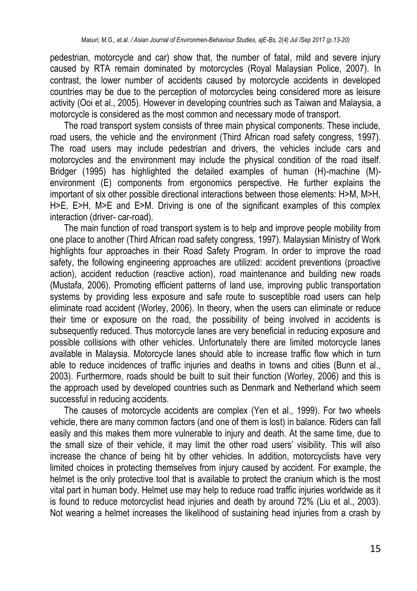pedestrian, motorcycle and car) show that, the number of fatal, mild and severe injury caused by RTA remain dominated by motorcycles (Royal Malaysian Police, 2007). In contrast, the lower number of accidents caused by motorcycle accidents in developed countries may be due to the perception of motorcycles being considered more as leisure activity (Ooi et al., 2005). However in developing countries such as Taiwan and Malaysia, a motorcycle is considered as the most common and necessary mode of transport.

The road transport system consists of three main physical components. These include, road users, the vehicle and the environment (Third African road safety congress, 1997). The road users may include pedestrian and drivers, the vehicles include cars and motorcycles and the environment may include the physical condition of the road itself. Bridger (1995) has highlighted the detailed examples of human (H)-machine (M) environment (E) components from ergonomics perspective. He further explains the important of six other possible directional interactions between those elements: H>M, M>H, H>E, E>H, M>E and E>M. Driving is one of the significant examples of this complex interaction (driver- car-road).

The main function of road transport system is to help and improve people mobility from one place to another (Third African road safety congress, 1997). Malaysian Ministry of Work highlights four approaches in their Road Safety Program. In order to improve the road safety, the following engineering approaches are utilized: accident preventions (proactive action), accident reduction (reactive action), road maintenance and building new roads (Mustafa, 2006). Promoting efficient patterns of land use, improving public transportation systems by providing less exposure and safe route to susceptible road users can help eliminate road accident (Worley, 2006). In theory, when the users can eliminate or reduce their time or exposure on the road, the possibility of being involved in accidents is subsequently reduced. Thus motorcycle lanes are very beneficial in reducing exposure and possible collisions with other vehicles. Unfortunately there are limited motorcycle lanes available in Malaysia. Motorcycle lanes should able to increase traffic flow which in turn able to reduce incidences of traffic injuries and deaths in towns and cities (Bunn et al., 2003). Furthermore, roads should be built to suit their function (Worley, 2006) and this is the approach used by developed countries such as Denmark and Netherland which seem successful in reducing accidents.

The causes of motorcycle accidents are complex (Yen et al., 1999). For two wheels vehicle, there are many common factors (and one of them is lost) in balance. Riders can fall easily and this makes them more vulnerable to injury and death. At the same time, due to the small size of their vehicle, it may limit the other road users' visibility. This will also increase the chance of being hit by other vehicles. In addition, motorcyclists have very limited choices in protecting themselves from injury caused by accident. For example, the helmet is the only protective tool that is available to protect the cranium which is the most vital part in human body. Helmet use may help to reduce road traffic injuries worldwide as it is found to reduce motorcyclist head injuries and death by around 72% (Liu et al., 2003). Not wearing a helmet increases the likelihood of sustaining head injuries from a crash by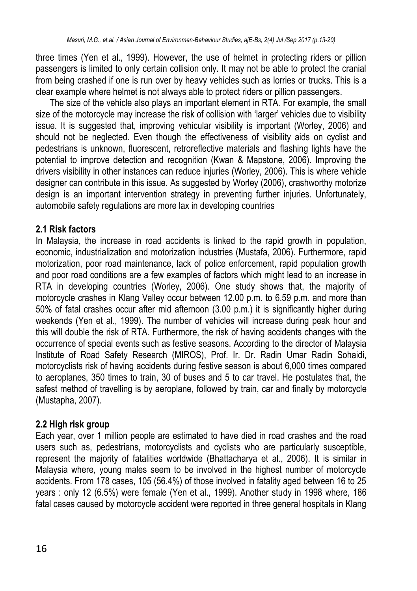three times (Yen et al., 1999). However, the use of helmet in protecting riders or pillion passengers is limited to only certain collision only. It may not be able to protect the cranial from being crashed if one is run over by heavy vehicles such as lorries or trucks. This is a clear example where helmet is not always able to protect riders or pillion passengers.

The size of the vehicle also plays an important element in RTA. For example, the small size of the motorcycle may increase the risk of collision with 'larger' vehicles due to visibility issue. It is suggested that, improving vehicular visibility is important (Worley, 2006) and should not be neglected. Even though the effectiveness of visibility aids on cyclist and pedestrians is unknown, fluorescent, retroreflective materials and flashing lights have the potential to improve detection and recognition (Kwan & Mapstone, 2006). Improving the drivers visibility in other instances can reduce injuries (Worley, 2006). This is where vehicle designer can contribute in this issue. As suggested by Worley (2006), crashworthy motorize design is an important intervention strategy in preventing further injuries. Unfortunately, automobile safety regulations are more lax in developing countries

#### **2.1 Risk factors**

In Malaysia, the increase in road accidents is linked to the rapid growth in population, economic, industrialization and motorization industries (Mustafa, 2006). Furthermore, rapid motorization, poor road maintenance, lack of police enforcement, rapid population growth and poor road conditions are a few examples of factors which might lead to an increase in RTA in developing countries (Worley, 2006). One study shows that, the majority of motorcycle crashes in Klang Valley occur between 12.00 p.m. to 6.59 p.m. and more than 50% of fatal crashes occur after mid afternoon (3.00 p.m.) it is significantly higher during weekends (Yen et al., 1999). The number of vehicles will increase during peak hour and this will double the risk of RTA. Furthermore, the risk of having accidents changes with the occurrence of special events such as festive seasons. According to the director of Malaysia Institute of Road Safety Research (MIROS), Prof. Ir. Dr. Radin Umar Radin Sohaidi, motorcyclists risk of having accidents during festive season is about 6,000 times compared to aeroplanes, 350 times to train, 30 of buses and 5 to car travel. He postulates that, the safest method of travelling is by aeroplane, followed by train, car and finally by motorcycle (Mustapha, 2007).

#### **2.2 High risk group**

Each year, over 1 million people are estimated to have died in road crashes and the road users such as, pedestrians, motorcyclists and cyclists who are particularly susceptible, represent the majority of fatalities worldwide (Bhattacharya et al., 2006). It is similar in Malaysia where, young males seem to be involved in the highest number of motorcycle accidents. From 178 cases, 105 (56.4%) of those involved in fatality aged between 16 to 25 years : only 12 (6.5%) were female (Yen et al., 1999). Another study in 1998 where, 186 fatal cases caused by motorcycle accident were reported in three general hospitals in Klang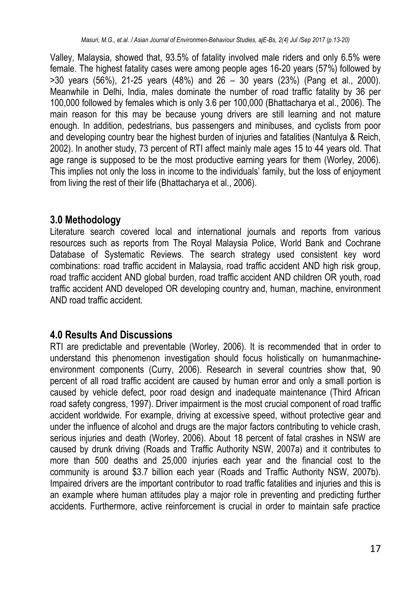Valley, Malaysia, showed that, 93.5% of fatality involved male riders and only 6.5% were female. The highest fatality cases were among people ages 16-20 years (57%) followed by >30 years (56%), 21-25 years (48%) and 26 – 30 years (23%) (Pang et al., 2000). Meanwhile in Delhi, India, males dominate the number of road traffic fatality by 36 per 100,000 followed by females which is only 3.6 per 100,000 (Bhattacharya et al., 2006). The main reason for this may be because young drivers are still learning and not mature enough. In addition, pedestrians, bus passengers and minibuses, and cyclists from poor and developing country bear the highest burden of injuries and fatalities (Nantulya & Reich, 2002). In another study, 73 percent of RTI affect mainly male ages 15 to 44 years old. That age range is supposed to be the most productive earning years for them (Worley, 2006). This implies not only the loss in income to the individuals" family, but the loss of enjoyment from living the rest of their life (Bhattacharya et al., 2006).

## **3.0 Methodology**

Literature search covered local and international journals and reports from various resources such as reports from The Royal Malaysia Police, World Bank and Cochrane Database of Systematic Reviews. The search strategy used consistent key word combinations: road traffic accident in Malaysia, road traffic accident AND high risk group, road traffic accident AND global burden, road traffic accident AND children OR youth, road traffic accident AND developed OR developing country and, human, machine, environment AND road traffic accident.

## **4.0 Results And Discussions**

RTI are predictable and preventable (Worley, 2006). It is recommended that in order to understand this phenomenon investigation should focus holistically on humanmachineenvironment components (Curry, 2006). Research in several countries show that, 90 percent of all road traffic accident are caused by human error and only a small portion is caused by vehicle defect, poor road design and inadequate maintenance (Third African road safety congress, 1997). Driver impairment is the most crucial component of road traffic accident worldwide. For example, driving at excessive speed, without protective gear and under the influence of alcohol and drugs are the major factors contributing to vehicle crash, serious injuries and death (Worley, 2006). About 18 percent of fatal crashes in NSW are caused by drunk driving (Roads and Traffic Authority NSW, 2007a) and it contributes to more than 500 deaths and 25,000 injuries each year and the financial cost to the community is around \$3.7 billion each year (Roads and Traffic Authority NSW, 2007b). Impaired drivers are the important contributor to road traffic fatalities and injuries and this is an example where human attitudes play a major role in preventing and predicting further accidents. Furthermore, active reinforcement is crucial in order to maintain safe practice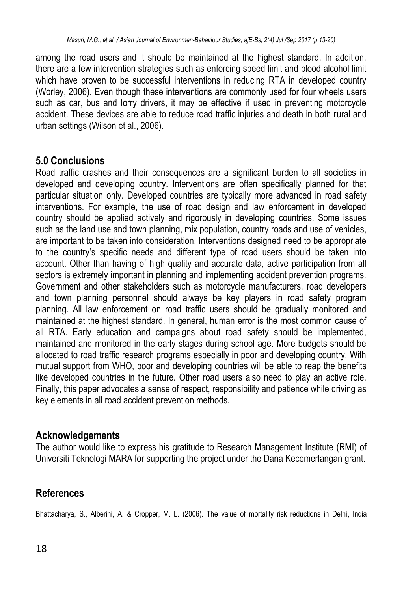among the road users and it should be maintained at the highest standard. In addition, there are a few intervention strategies such as enforcing speed limit and blood alcohol limit which have proven to be successful interventions in reducing RTA in developed country (Worley, 2006). Even though these interventions are commonly used for four wheels users such as car, bus and lorry drivers, it may be effective if used in preventing motorcycle accident. These devices are able to reduce road traffic injuries and death in both rural and urban settings (Wilson et al., 2006).

#### **5.0 Conclusions**

Road traffic crashes and their consequences are a significant burden to all societies in developed and developing country. Interventions are often specifically planned for that particular situation only. Developed countries are typically more advanced in road safety interventions. For example, the use of road design and law enforcement in developed country should be applied actively and rigorously in developing countries. Some issues such as the land use and town planning, mix population, country roads and use of vehicles, are important to be taken into consideration. Interventions designed need to be appropriate to the country"s specific needs and different type of road users should be taken into account. Other than having of high quality and accurate data, active participation from all sectors is extremely important in planning and implementing accident prevention programs. Government and other stakeholders such as motorcycle manufacturers, road developers and town planning personnel should always be key players in road safety program planning. All law enforcement on road traffic users should be gradually monitored and maintained at the highest standard. In general, human error is the most common cause of all RTA. Early education and campaigns about road safety should be implemented, maintained and monitored in the early stages during school age. More budgets should be allocated to road traffic research programs especially in poor and developing country. With mutual support from WHO, poor and developing countries will be able to reap the benefits like developed countries in the future. Other road users also need to play an active role. Finally, this paper advocates a sense of respect, responsibility and patience while driving as key elements in all road accident prevention methods.

#### **Acknowledgements**

The author would like to express his gratitude to Research Management Institute (RMI) of Universiti Teknologi MARA for supporting the project under the Dana Kecemerlangan grant.

### **References**

Bhattacharya, S., Alberini, A. & Cropper, M. L. (2006). The value of mortality risk reductions in Delhi, India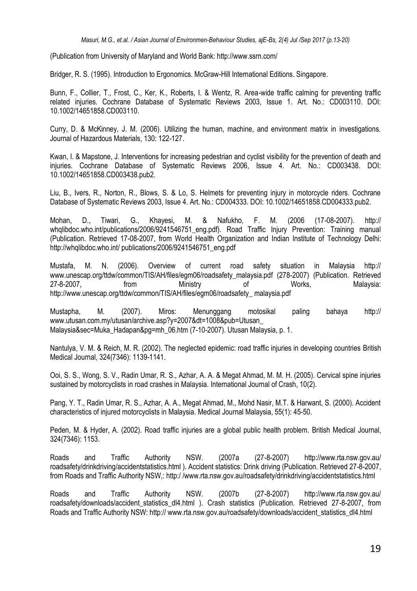(Publication from University of Maryland and World Bank: http://www.ssrn.com/

Bridger, R. S. (1995). Introduction to Ergonomics. McGraw-Hill International Editions. Singapore.

Bunn, F., Collier, T., Frost, C., Ker, K., Roberts, I. & Wentz, R. Area-wide traffic calming for preventing traffic related injuries. Cochrane Database of Systematic Reviews 2003, Issue 1. Art. No.: CD003110. DOI: 10.1002/14651858.CD003110.

Curry, D. & McKinney, J. M. (2006). Utilizing the human, machine, and environment matrix in investigations. Journal of Hazardous Materials, 130: 122-127.

Kwan, I. & Mapstone, J. Interventions for increasing pedestrian and cyclist visibility for the prevention of death and injuries. Cochrane Database of Systematic Reviews 2006, Issue 4. Art. No.: CD003438. DOI: 10.1002/14651858.CD003438.pub2.

Liu, B., Ivers, R., Norton, R., Blows, S. & Lo, S. Helmets for preventing injury in motorcycle riders. Cochrane Database of Systematic Reviews 2003, Issue 4. Art. No.: CD004333. DOI: 10.1002/14651858.CD004333.pub2.

Mohan, D., Tiwari, G., Khayesi, M. & Nafukho, F. M. (2006 (17-08-2007). http:// whqlibdoc.who.int/publications/2006/9241546751\_eng.pdf). Road Traffic Injury Prevention: Training manual (Publication. Retrieved 17-08-2007, from World Health Organization and Indian Institute of Technology Delhi: http://whqlibdoc.who.int/ publications/2006/9241546751\_eng.pdf

Mustafa, M. N. (2006). Overview of current road safety situation in Malaysia http:// www.unescap.org/ttdw/common/TIS/AH/files/egm06/roadsafety\_malaysia.pdf (278-2007) (Publication. Retrieved 27-8-2007, from Ministry of Works, Malaysia: http://www.unescap.org/ttdw/common/TIS/AH/files/egm06/roadsafety\_ malaysia.pdf

Mustapha, M. (2007). Miros: Menunggang motosikal paling bahaya http:// www.utusan.com.my/utusan/archive.asp?y=2007&dt=1008&pub=Utusan\_ Malaysia&sec=Muka\_Hadapan&pg=mh\_06.htm (7-10-2007). Utusan Malaysia, p. 1.

Nantulya, V. M. & Reich, M. R. (2002). The neglected epidemic: road traffic injuries in developing countries British Medical Journal, 324(7346): 1139-1141.

Ooi, S. S., Wong, S. V., Radin Umar, R. S., Azhar, A. A. & Megat Ahmad, M. M. H. (2005). Cervical spine injuries sustained by motorcyclists in road crashes in Malaysia. International Journal of Crash, 10(2).

Pang, Y. T., Radin Umar, R. S., Azhar, A. A., Megat Ahmad, M., Mohd Nasir, M.T. & Harwant, S. (2000). Accident characteristics of injured motorcyclists in Malaysia. Medical Journal Malaysia, 55(1): 45-50.

Peden, M. & Hyder, A. (2002). Road traffic injuries are a global public health problem. British Medical Journal, 324(7346): 1153.

Roads and Traffic Authority NSW. (2007a (27-8-2007) http://www.rta.nsw.gov.au/ roadsafety/drinkdriving/accidentstatistics.html ). Accident statistics: Drink driving (Publication. Retrieved 27-8-2007, from Roads and Traffic Authority NSW,: http:/ /www.rta.nsw.gov.au/roadsafety/drinkdriving/accidentstatistics.html

Roads and Traffic Authority NSW. (2007b (27-8-2007) http://www.rta.nsw.gov.au/ roadsafety/downloads/accident statistics dl4.html ). Crash statistics (Publication. Retrieved 27-8-2007, from Roads and Traffic Authority NSW: http:// www.rta.nsw.gov.au/roadsafety/downloads/accident\_statistics\_dl4.html